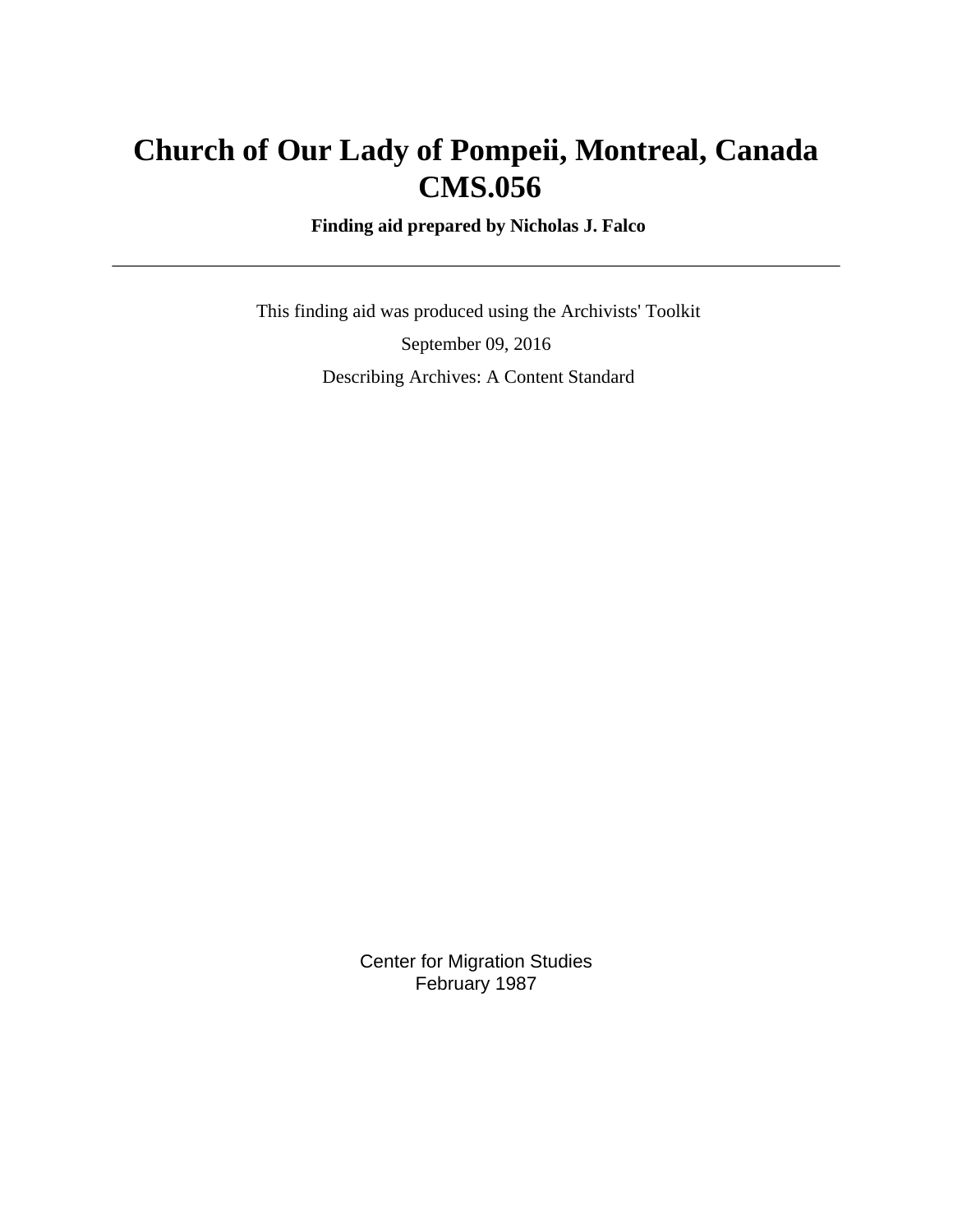# **Church of Our Lady of Pompeii, Montreal, Canada CMS.056**

 **Finding aid prepared by Nicholas J. Falco**

 This finding aid was produced using the Archivists' Toolkit September 09, 2016 Describing Archives: A Content Standard

> Center for Migration Studies February 1987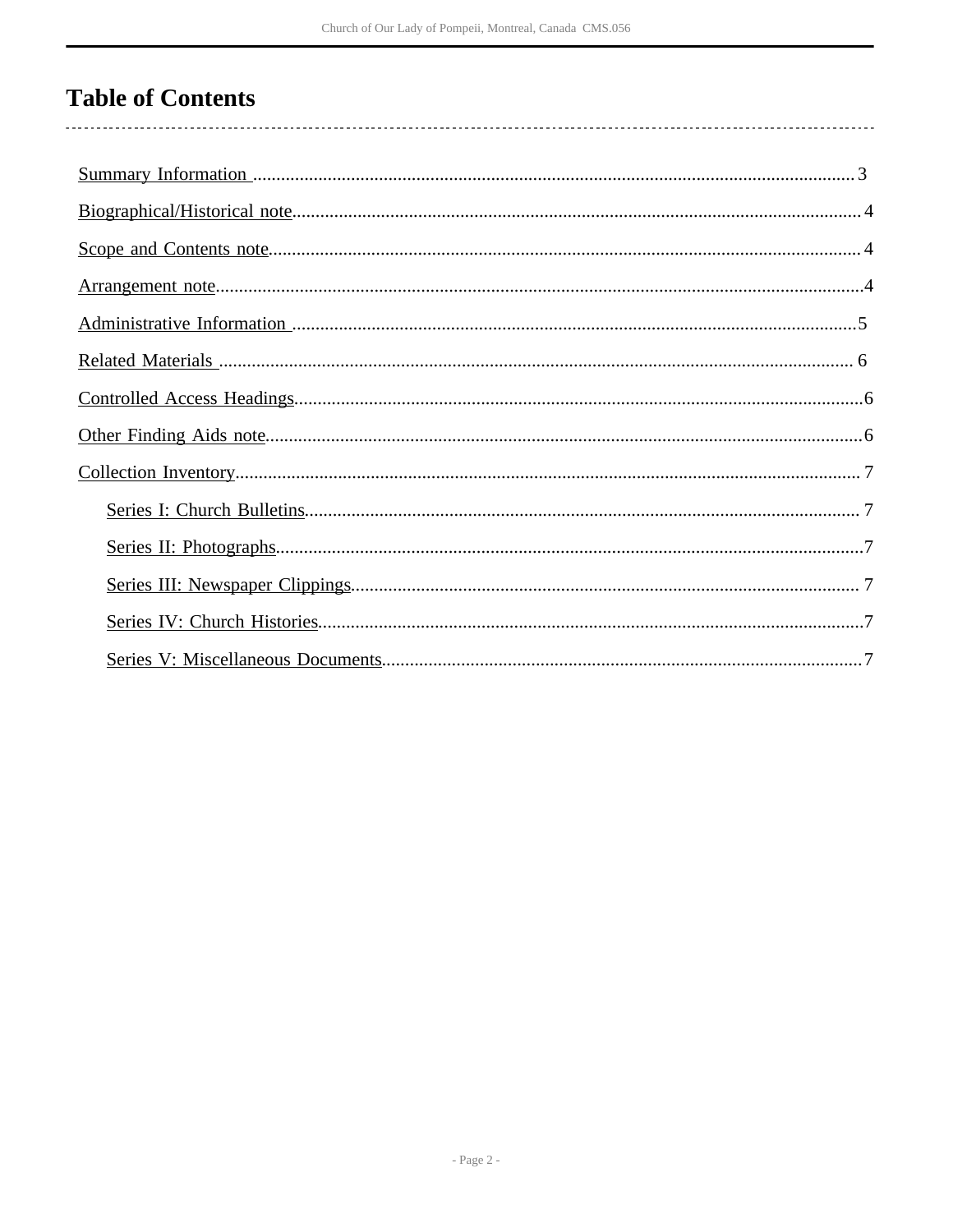# **Table of Contents**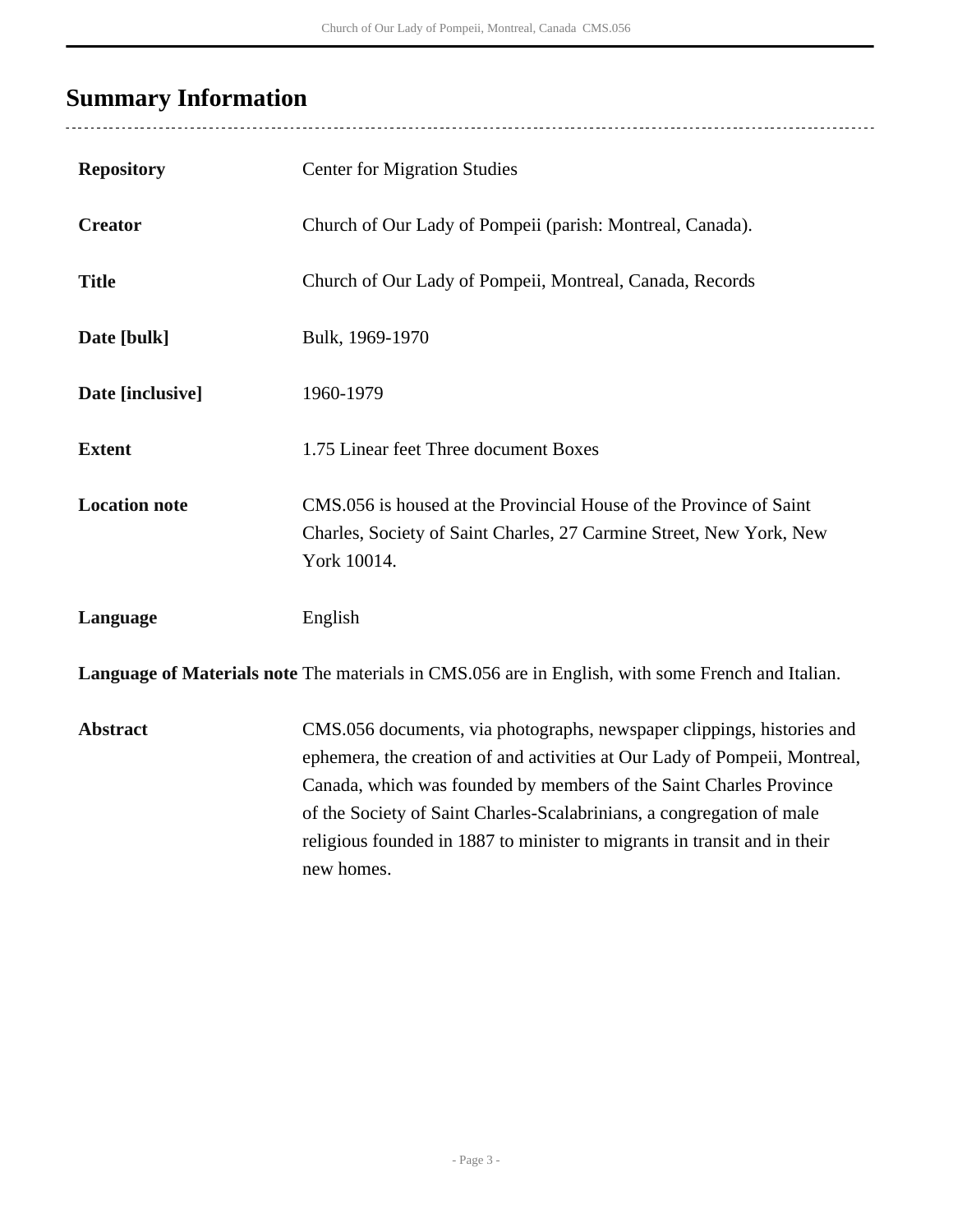# <span id="page-2-0"></span>**Summary Information**

l,

| <b>Repository</b>    | <b>Center for Migration Studies</b>                                                                                                                                                                                                                                                                                                                                                            |
|----------------------|------------------------------------------------------------------------------------------------------------------------------------------------------------------------------------------------------------------------------------------------------------------------------------------------------------------------------------------------------------------------------------------------|
| <b>Creator</b>       | Church of Our Lady of Pompeii (parish: Montreal, Canada).                                                                                                                                                                                                                                                                                                                                      |
| <b>Title</b>         | Church of Our Lady of Pompeii, Montreal, Canada, Records                                                                                                                                                                                                                                                                                                                                       |
| Date [bulk]          | Bulk, 1969-1970                                                                                                                                                                                                                                                                                                                                                                                |
| Date [inclusive]     | 1960-1979                                                                                                                                                                                                                                                                                                                                                                                      |
| <b>Extent</b>        | 1.75 Linear feet Three document Boxes                                                                                                                                                                                                                                                                                                                                                          |
| <b>Location note</b> | CMS.056 is housed at the Provincial House of the Province of Saint<br>Charles, Society of Saint Charles, 27 Carmine Street, New York, New<br>York 10014.                                                                                                                                                                                                                                       |
| Language             | English                                                                                                                                                                                                                                                                                                                                                                                        |
|                      | Language of Materials note The materials in CMS.056 are in English, with some French and Italian.                                                                                                                                                                                                                                                                                              |
| <b>Abstract</b>      | CMS.056 documents, via photographs, newspaper clippings, histories and<br>ephemera, the creation of and activities at Our Lady of Pompeii, Montreal,<br>Canada, which was founded by members of the Saint Charles Province<br>of the Society of Saint Charles-Scalabrinians, a congregation of male<br>religious founded in 1887 to minister to migrants in transit and in their<br>new homes. |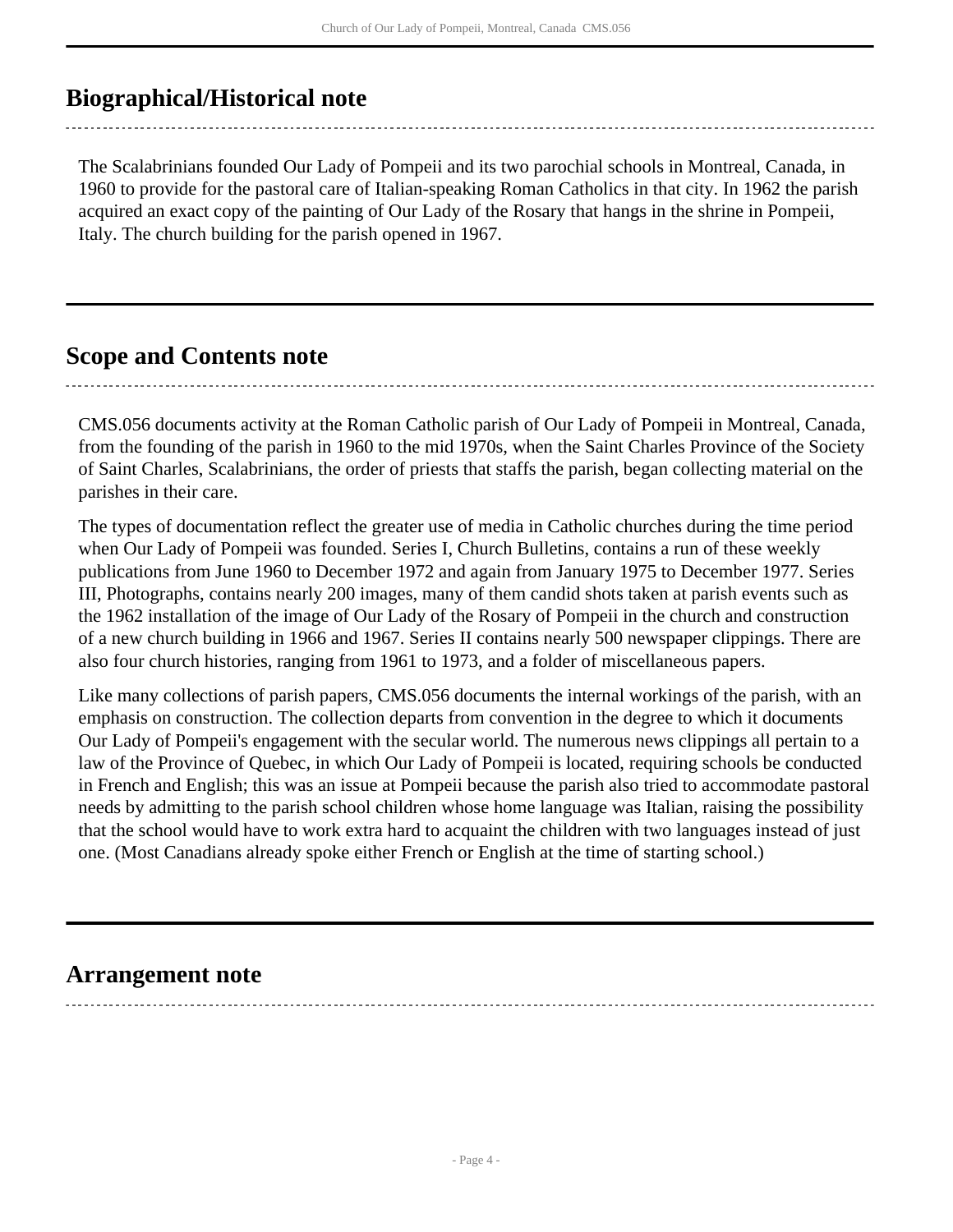# <span id="page-3-0"></span>**Biographical/Historical note**

The Scalabrinians founded Our Lady of Pompeii and its two parochial schools in Montreal, Canada, in 1960 to provide for the pastoral care of Italian-speaking Roman Catholics in that city. In 1962 the parish acquired an exact copy of the painting of Our Lady of the Rosary that hangs in the shrine in Pompeii, Italy. The church building for the parish opened in 1967.

## <span id="page-3-1"></span>**Scope and Contents note**

CMS.056 documents activity at the Roman Catholic parish of Our Lady of Pompeii in Montreal, Canada, from the founding of the parish in 1960 to the mid 1970s, when the Saint Charles Province of the Society of Saint Charles, Scalabrinians, the order of priests that staffs the parish, began collecting material on the parishes in their care.

The types of documentation reflect the greater use of media in Catholic churches during the time period when Our Lady of Pompeii was founded. Series I, Church Bulletins, contains a run of these weekly publications from June 1960 to December 1972 and again from January 1975 to December 1977. Series III, Photographs, contains nearly 200 images, many of them candid shots taken at parish events such as the 1962 installation of the image of Our Lady of the Rosary of Pompeii in the church and construction of a new church building in 1966 and 1967. Series II contains nearly 500 newspaper clippings. There are also four church histories, ranging from 1961 to 1973, and a folder of miscellaneous papers.

Like many collections of parish papers, CMS.056 documents the internal workings of the parish, with an emphasis on construction. The collection departs from convention in the degree to which it documents Our Lady of Pompeii's engagement with the secular world. The numerous news clippings all pertain to a law of the Province of Quebec, in which Our Lady of Pompeii is located, requiring schools be conducted in French and English; this was an issue at Pompeii because the parish also tried to accommodate pastoral needs by admitting to the parish school children whose home language was Italian, raising the possibility that the school would have to work extra hard to acquaint the children with two languages instead of just one. (Most Canadians already spoke either French or English at the time of starting school.)

## <span id="page-3-2"></span>**Arrangement note**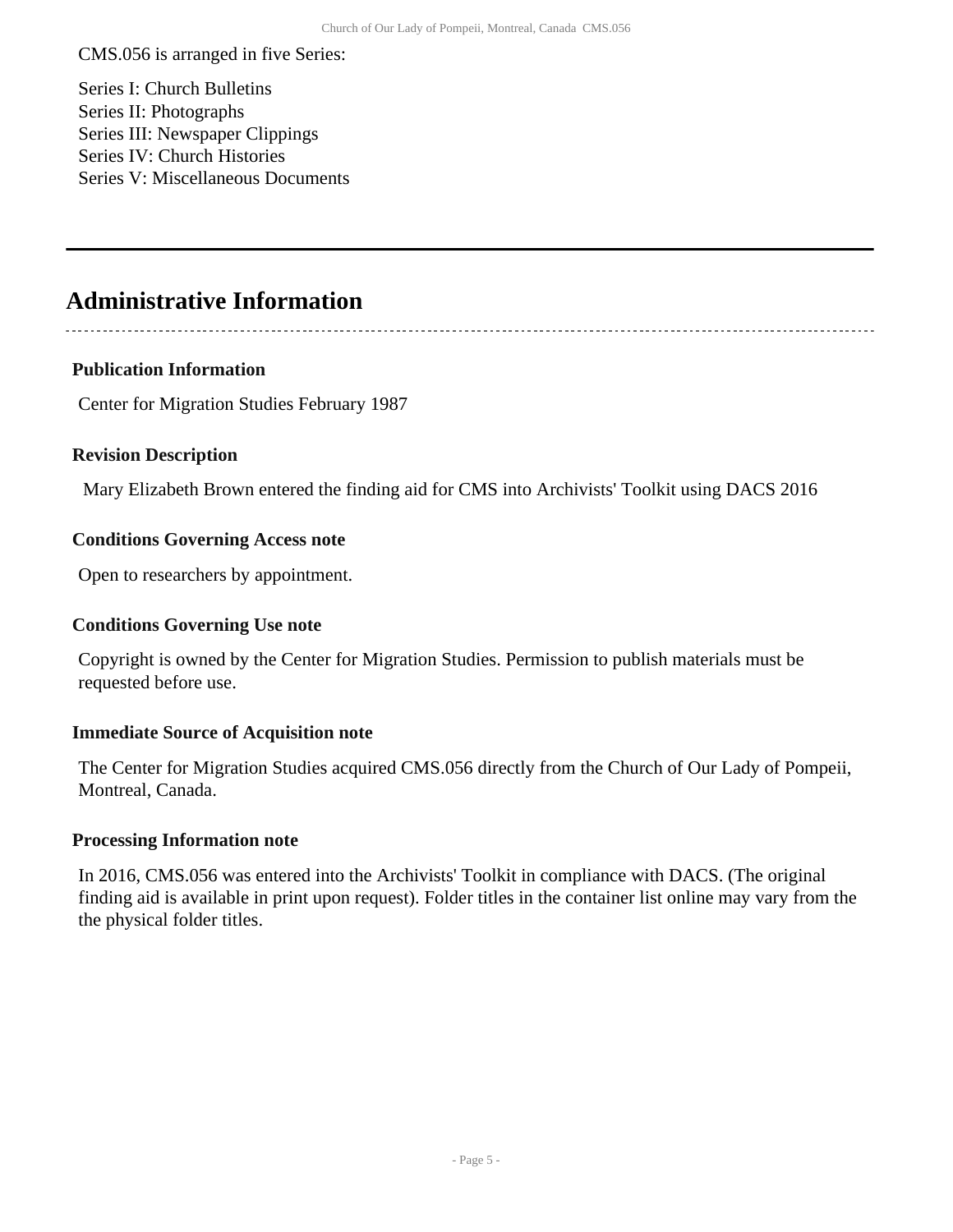CMS.056 is arranged in five Series:

Series I: Church Bulletins Series II: Photographs Series III: Newspaper Clippings Series IV: Church Histories Series V: Miscellaneous Documents

# <span id="page-4-0"></span>**Administrative Information**

### **Publication Information**

Center for Migration Studies February 1987

#### **Revision Description**

Mary Elizabeth Brown entered the finding aid for CMS into Archivists' Toolkit using DACS 2016

#### **Conditions Governing Access note**

Open to researchers by appointment.

#### **Conditions Governing Use note**

Copyright is owned by the Center for Migration Studies. Permission to publish materials must be requested before use.

#### **Immediate Source of Acquisition note**

The Center for Migration Studies acquired CMS.056 directly from the Church of Our Lady of Pompeii, Montreal, Canada.

#### **Processing Information note**

In 2016, CMS.056 was entered into the Archivists' Toolkit in compliance with DACS. (The original finding aid is available in print upon request). Folder titles in the container list online may vary from the the physical folder titles.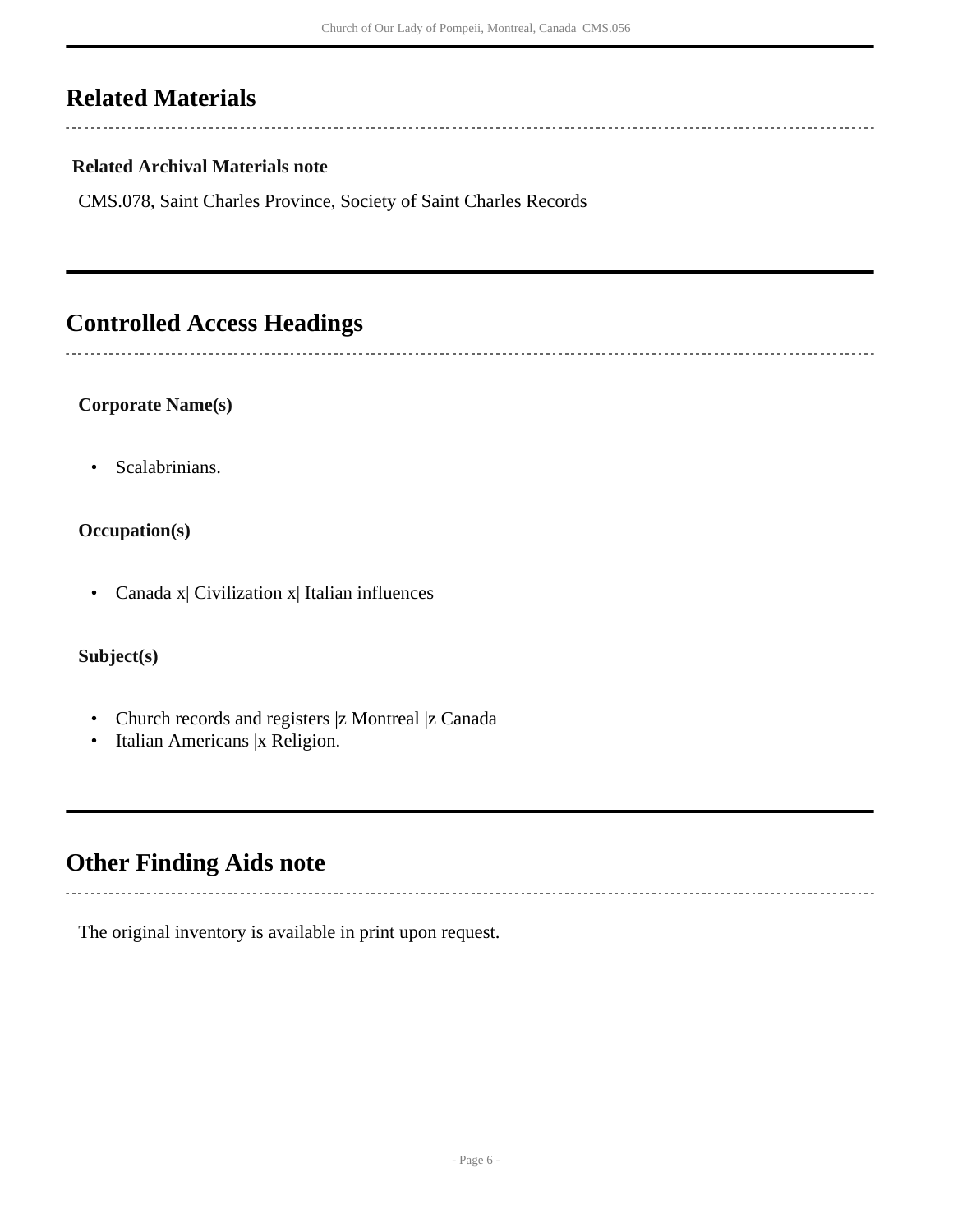# <span id="page-5-0"></span>**Related Materials**

#### **Related Archival Materials note**

CMS.078, Saint Charles Province, Society of Saint Charles Records

# <span id="page-5-1"></span>**Controlled Access Headings**

#### **Corporate Name(s)**

• Scalabrinians.

#### **Occupation(s)**

• Canada x| Civilization x| Italian influences

## **Subject(s)**

- Church records and registers |z Montreal |z Canada
- Italian Americans |x Religion.

## <span id="page-5-2"></span>**Other Finding Aids note**

The original inventory is available in print upon request.